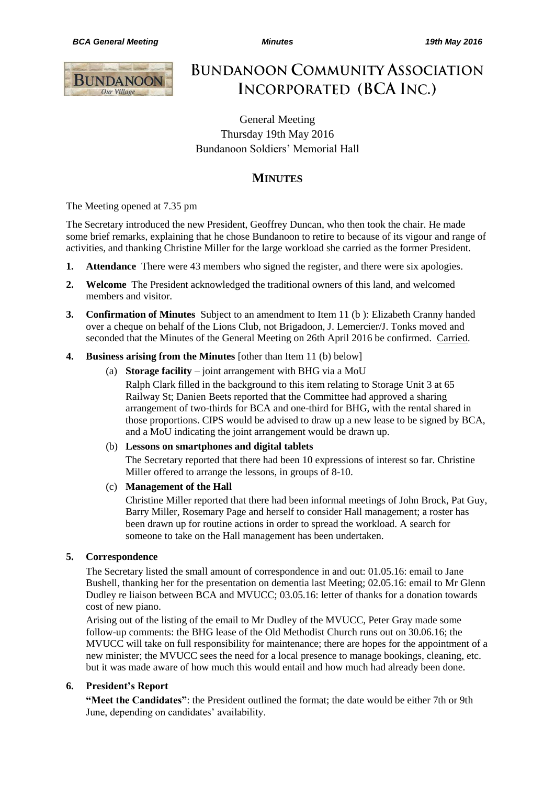

**BUNDANOON COMMUNITY ASSOCIATION** INCORPORATED (BCA INC.)

General Meeting Thursday 19th May 2016 Bundanoon Soldiers' Memorial Hall

# **MINUTES**

The Meeting opened at 7.35 pm

The Secretary introduced the new President, Geoffrey Duncan, who then took the chair. He made some brief remarks, explaining that he chose Bundanoon to retire to because of its vigour and range of activities, and thanking Christine Miller for the large workload she carried as the former President.

- **1. Attendance** There were 43 members who signed the register, and there were six apologies.
- **2. Welcome** The President acknowledged the traditional owners of this land, and welcomed members and visitor.
- **3. Confirmation of Minutes** Subject to an amendment to Item 11 (b ): Elizabeth Cranny handed over a cheque on behalf of the Lions Club, not Brigadoon, J. Lemercier/J. Tonks moved and seconded that the Minutes of the General Meeting on 26th April 2016 be confirmed. Carried.
- **4. Business arising from the Minutes** [other than Item 11 (b) below]
	- (a) **Storage facility** joint arrangement with BHG via a MoU

Ralph Clark filled in the background to this item relating to Storage Unit 3 at 65 Railway St; Danien Beets reported that the Committee had approved a sharing arrangement of two-thirds for BCA and one-third for BHG, with the rental shared in those proportions. CIPS would be advised to draw up a new lease to be signed by BCA, and a MoU indicating the joint arrangement would be drawn up.

#### (b) **Lessons on smartphones and digital tablets**

The Secretary reported that there had been 10 expressions of interest so far. Christine Miller offered to arrange the lessons, in groups of 8-10.

#### (c) **Management of the Hall**

Christine Miller reported that there had been informal meetings of John Brock, Pat Guy, Barry Miller, Rosemary Page and herself to consider Hall management; a roster has been drawn up for routine actions in order to spread the workload. A search for someone to take on the Hall management has been undertaken.

#### **5. Correspondence**

The Secretary listed the small amount of correspondence in and out: 01.05.16: email to Jane Bushell, thanking her for the presentation on dementia last Meeting; 02.05.16: email to Mr Glenn Dudley re liaison between BCA and MVUCC; 03.05.16: letter of thanks for a donation towards cost of new piano.

Arising out of the listing of the email to Mr Dudley of the MVUCC, Peter Gray made some follow-up comments: the BHG lease of the Old Methodist Church runs out on 30.06.16; the MVUCC will take on full responsibility for maintenance; there are hopes for the appointment of a new minister; the MVUCC sees the need for a local presence to manage bookings, cleaning, etc. but it was made aware of how much this would entail and how much had already been done.

# **6. President's Report**

**"Meet the Candidates"**: the President outlined the format; the date would be either 7th or 9th June, depending on candidates' availability.